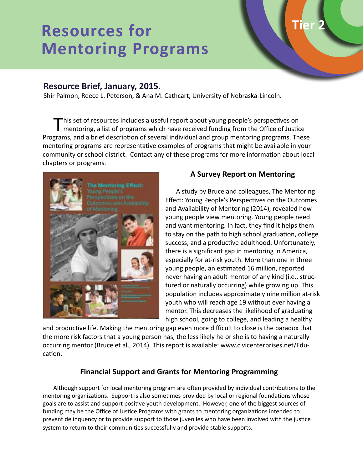# **Resources for Mentoring Programs**

# **Resource Brief, January, 2015.**

Shir Palmon, Reece L. Peterson, & Ana M. Cathcart, University of Nebraska-Lincoln.

This set of resources includes a useful report about young people's perspectives on<br>mentoring, a list of programs which have received funding from the Office of Justice Programs, and a brief description of several individual and group mentoring programs. These mentoring programs are representative examples of programs that might be available in your community or school district. Contact any of these programs for more information about local chapters or programs.



#### **A Survey Report on Mentoring**

**Tier 2**

A study by Bruce and colleagues, The Mentoring Effect: Young People's Perspectives on the Outcomes and Availability of Mentoring (2014), revealed how young people view mentoring. Young people need and want mentoring. In fact, they find it helps them to stay on the path to high school graduation, college success, and a productive adulthood. Unfortunately, there is a significant gap in mentoring in America, especially for at-risk youth. More than one in three young people, an estimated 16 million, reported never having an adult mentor of any kind (i.e., structured or naturally occurring) while growing up. This population includes approximately nine million at-risk youth who will reach age 19 without ever having a mentor. This decreases the likelihood of graduating high school, going to college, and leading a healthy

and productive life. Making the mentoring gap even more difficult to close is the paradox that the more risk factors that a young person has, the less likely he or she is to having a naturally occurring mentor (Bruce et al., 2014). This report is available: www.civicenterprises.net/Education.

# **Financial Support and Grants for Mentoring Programming**

Although support for local mentoring program are often provided by individual contributions to the mentoring organizations. Support is also sometimes provided by local or regional foundations whose goals are to assist and support positive youth development. However, one of the biggest sources of funding may be the Office of Justice Programs with grants to mentoring organizations intended to prevent delinquency or to provide support to those juveniles who have been involved with the justice system to return to their communities successfully and provide stable supports.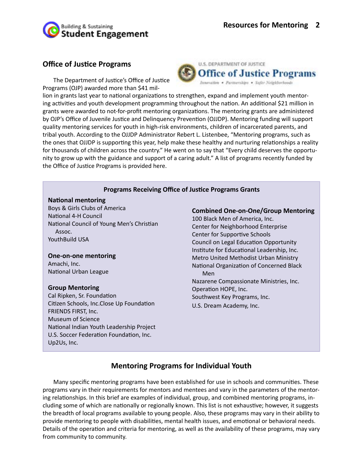

#### **Office of Justice Programs**

The Department of Justice's Office of Justice Programs (OJP) awarded more than \$41 mil-



lion in grants last year to national organizations to strengthen, expand and implement youth mentoring activities and youth development programming throughout the nation. An additional \$21 million in grants were awarded to not-for-profit mentoring organizations. The mentoring grants are administered by OJP's Office of Juvenile Justice and Delinquency Prevention (OJJDP). Mentoring funding will support quality mentoring services for youth in high-risk environments, children of incarcerated parents, and tribal youth. According to the OJJDP Administrator Rebert L. Listenbee, "Mentoring programs, such as the ones that OJJDP is supporting this year, help make these healthy and nurturing relationships a reality for thousands of children across the country." He went on to say that "Every child deserves the opportunity to grow up with the guidance and support of a caring adult." A list of programs recently funded by the Office of Justice Programs is provided here.

#### **Programs Receiving Office of Justice Programs Grants**

#### **National mentoring**

Boys & Girls Clubs of America National 4-H Council National Council of Young Men's Christian Assoc. YouthBuild USA

## **One-on-one mentoring**

Amachi, Inc. National Urban League

#### **Group Mentoring**

Cal Ripken, Sr. Foundation Citizen Schools, Inc.Close Up Foundation FRIENDS FIRST, Inc. Museum of Science National Indian Youth Leadership Project U.S. Soccer Federation Foundation, Inc. Up2Us, Inc.

**Combined One-on-One/Group Mentoring**

100 Black Men of America, Inc. Center for Neighborhood Enterprise Center for Supportive Schools Council on Legal Education Opportunity Institute for Educational Leadership, Inc. Metro United Methodist Urban Ministry National Organization of Concerned Black Men Nazarene Compassionate Ministries, Inc. Operation HOPE, Inc. Southwest Key Programs, Inc. U.S. Dream Academy, Inc.

#### **Mentoring Programs for Individual Youth**

Many specific mentoring programs have been established for use in schools and communities. These programs vary in their requirements for mentors and mentees and vary in the parameters of the mentoring relationships. In this brief are examples of individual, group, and combined mentoring programs, including some of which are nationally or regionally known. This list is not exhaustive; however, it suggests the breadth of local programs available to young people. Also, these programs may vary in their ability to provide mentoring to people with disabilities, mental health issues, and emotional or behavioral needs. Details of the operation and criteria for mentoring, as well as the availability of these programs, may vary from community to community.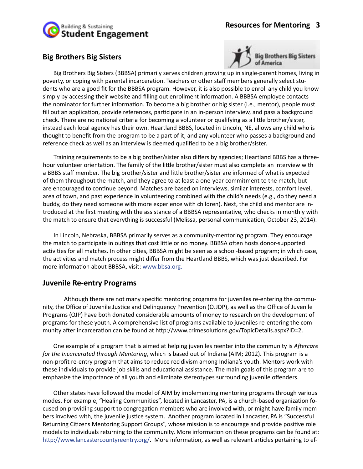

## **Big Brothers Big Sisters**



Big Brothers Big Sisters (BBBSA) primarily serves children growing up in single-parent homes, living in poverty, or coping with parental incarceration. Teachers or other staff members generally select students who are a good fit for the BBBSA program. However, it is also possible to enroll any child you know simply by accessing their website and filling out enrollment information. A BBBSA employee contacts the nominator for further information. To become a big brother or big sister (i.e., mentor), people must fill out an application, provide references, participate in an in-person interview, and pass a background check. There are no national criteria for becoming a volunteer or qualifying as a little brother/sister, instead each local agency has their own. Heartland BBBS, located in Lincoln, NE, allows any child who is thought to benefit from the program to be a part of it, and any volunteer who passes a background and reference check as well as an interview is deemed qualified to be a big brother/sister.

Training requirements to be a big brother/sister also differs by agencies; Heartland BBBS has a threehour volunteer orientation. The family of the little brother/sister must also complete an interview with a BBBS staff member. The big brother/sister and little brother/sister are informed of what is expected of them throughout the match, and they agree to at least a one-year commitment to the match, but are encouraged to continue beyond. Matches are based on interviews, similar interests, comfort level, area of town, and past experience in volunteering combined with the child's needs (e.g., do they need a buddy, do they need someone with more experience with children). Next, the child and mentor are introduced at the first meeting with the assistance of a BBBSA representative, who checks in monthly with the match to ensure that everything is successful (Melissa, personal communication, October 23, 2014).

In Lincoln, Nebraska, BBBSA primarily serves as a community-mentoring program. They encourage the match to participate in outings that cost little or no money. BBBSA often hosts donor-supported activities for all matches. In other cities, BBBSA might be seen as a school-based program; in which case, the activities and match process might differ from the Heartland BBBS, which was just described. For more information about BBBSA, visit: www.bbsa.org.

#### **Juvenile Re-entry Programs**

Although there are not many specific mentoring programs for juveniles re-entering the community, the Office of Juvenile Justice and Delinquency Prevention (OJJDP), as well as the Office of Juvenile Programs (OJP) have both donated considerable amounts of money to research on the development of programs for these youth. A comprehensive list of programs available to juveniles re-entering the community after incarceration can be found at http://www.crimesolutions.gov/TopicDetails.aspx?ID=2.

One example of a program that is aimed at helping juveniles reenter into the community is *Aftercare for the Incarcerated through Mentoring*, which is based out of Indiana (AIM; 2012). This program is a non-profit re-entry program that aims to reduce recidivism among Indiana's youth. Mentors work with these individuals to provide job skills and educational assistance. The main goals of this program are to emphasize the importance of all youth and eliminate stereotypes surrounding juvenile offenders.

Other states have followed the model of AIM by implementing mentoring programs through various modes. For example, "Healing Communities", located in Lancaster, PA, is a church-based organization focused on providing support to congregation members who are involved with, or might have family members involved with, the juvenile justice system. Another program located in Lancaster, PA is "Successful Returning Citizens Mentoring Support Groups", whose mission is to encourage and provide positive role models to individuals returning to the community. More information on these programs can be found at: http://www.lancastercountyreentry.org/. More information, as well as relevant articles pertaining to ef-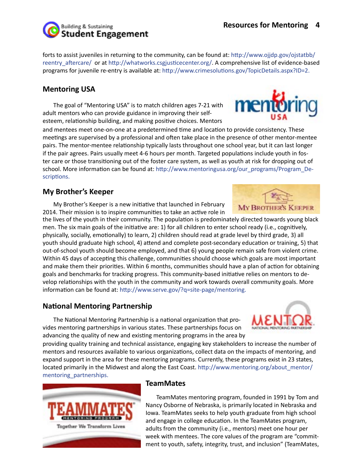#### **Resources for Mentoring 4**

forts to assist juveniles in returning to the community, can be found at: http://www.ojjdp.gov/ojstatbb/ reentry\_aftercare/ or at http://whatworks.csgjusticecenter.org/. A comprehensive list of evidence-based programs for juvenile re-entry is available at: http://www.crimesolutions.gov/TopicDetails.aspx?ID=2.

## **Mentoring USA**

The goal of "Mentoring USA" is to match children ages 7-21 with adult mentors who can provide guidance in improving their selfesteem, relationship building, and making positive choices. Mentors

if the pair agrees. Pairs usually meet 4-6 hours per month. Targeted populations include youth in foster care or those transitioning out of the foster care system, as well as youth at risk for dropping out of school. More information can be found at: http://www.mentoringusa.org/our\_programs/Program\_Deand mentees meet one-on-one at a predetermined time and location to provide consistency. These meetings are supervised by a professional and often take place in the presence of other mentor-mentee pairs. The mentor-mentee relationship typically lasts throughout one school year, but it can last longer scriptions.

#### **My Brother's Keeper**

My Brother's Keeper is a new initiative that launched in February 2014. Their mission is to inspire communities to take an active role in

the lives of the youth in their community. The population is predominately directed towards young black men. The six main goals of the initiative are: 1) for all children to enter school ready (i.e., cognitively, physically, socially, emotionally) to learn, 2) children should read at grade level by third grade, 3) all youth should graduate high school, 4) attend and complete post-secondary education or training, 5) that out-of-school youth should become employed, and that 6) young people remain safe from violent crime. Within 45 days of accepting this challenge, communities should choose which goals are most important and make them their priorities. Within 6 months, communities should have a plan of action for obtaining goals and benchmarks for tracking progress. This community-based initiative relies on mentors to develop relationships with the youth in the community and work towards overall community goals. More information can be found at: http://www.serve.gov/?q=site-page/mentoring.

## **National Mentoring Partnership**

The National Mentoring Partnership is a national organization that provides mentoring partnerships in various states. These partnerships focus on advancing the quality of new and existing mentoring programs in the area by

providing quality training and technical assistance, engaging key stakeholders to increase the number of mentors and resources available to various organizations, collect data on the impacts of mentoring, and expand support in the area for these mentoring programs. Currently, these programs exist in 23 states, located primarily in the Midwest and along the East Coast. http://www.mentoring.org/about\_mentor/ mentoring\_partnerships.

> TeamMates mentoring program, founded in 1991 by Tom and Nancy Osborne of Nebraska, is primarily located in Nebraska and Iowa. TeamMates seeks to help youth graduate from high school and engage in college education. In the TeamMates program, adults from the community (i.e., mentors) meet one hour per week with mentees. The core values of the program are "commitment to youth, safety, integrity, trust, and inclusion" (TeamMates,

#### **TeamMates**











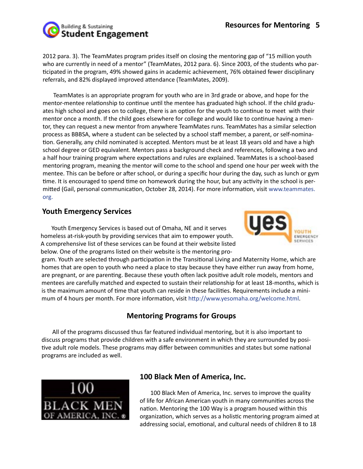

2012 para. 3). The TeamMates program prides itself on closing the mentoring gap of "15 million youth who are currently in need of a mentor" (TeamMates, 2012 para. 6). Since 2003, of the students who participated in the program, 49% showed gains in academic achievement, 76% obtained fewer disciplinary referrals, and 82% displayed improved attendance (TeamMates, 2009).

TeamMates is an appropriate program for youth who are in 3rd grade or above, and hope for the mentor-mentee relationship to continue until the mentee has graduated high school. If the child graduates high school and goes on to college, there is an option for the youth to continue to meet with their mentor once a month. If the child goes elsewhere for college and would like to continue having a mentor, they can request a new mentor from anywhere TeamMates runs. TeamMates has a similar selection process as BBBSA, where a student can be selected by a school staff member, a parent, or self-nomination. Generally, any child nominated is accepted. Mentors must be at least 18 years old and have a high school degree or GED equivalent. Mentors pass a background check and references, following a two and a half hour training program where expectations and rules are explained. TeamMates is a school-based mentoring program, meaning the mentor will come to the school and spend one hour per week with the mentee. This can be before or after school, or during a specific hour during the day, such as lunch or gym time. It is encouraged to spend time on homework during the hour, but any activity in the school is permitted (Gail, personal communication, October 28, 2014). For more information, visit www.teammates. org.

## **Youth Emergency Services**

Youth Emergency Services is based out of Omaha, NE and it serves homeless at-risk-youth by providing services that aim to empower youth. A comprehensive list of these services can be found at their website listed below. One of the programs listed on their website is the mentoring pro-



gram. Youth are selected through participation in the Transitional Living and Maternity Home, which are homes that are open to youth who need a place to stay because they have either run away from home, are pregnant, or are parenting. Because these youth often lack positive adult role models, mentors and mentees are carefully matched and expected to sustain their relationship for at least 18-months, which is is the maximum amount of time that youth can reside in these facilities. Requirements include a minimum of 4 hours per month. For more information, visit http://www.yesomaha.org/welcome.html.

# **Mentoring Programs for Groups**

All of the programs discussed thus far featured individual mentoring, but it is also important to discuss programs that provide children with a safe environment in which they are surrounded by positive adult role models. These programs may differ between communities and states but some national programs are included as well.



## **100 Black Men of America, Inc.**

100 Black Men of America, Inc. serves to improve the quality of life for African American youth in many communities across the nation. Mentoring the 100 Way is a program housed within this organization, which serves as a holistic mentoring program aimed at addressing social, emotional, and cultural needs of children 8 to 18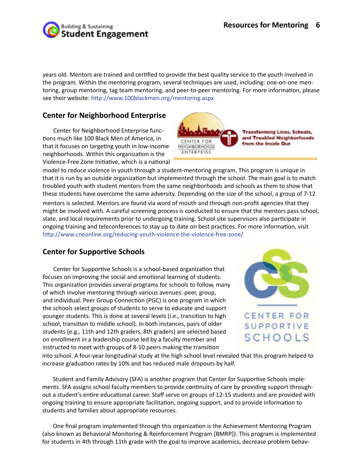

years old. Mentors are trained and certified to provide the best quality service to the youth involved in the program. Within the mentoring program, several techniques are used, including: one-on-one mentoring, group mentoring, tag team mentoring, and peer-to-peer mentoring. For more information, please see their website: http://www.100blackmen.org/mentoring.aspx

## **Center for Neighborhood Enterprise**

Center for Neighborhood Enterprise functions much like 100 Black Men of America, in that it focuses on targeting youth in low-income neighborhoods. Within this organization is the Violence-Free Zone Initiative, which is a national



mentors is selected. Mentors are found via word of mouth and through non-profit agencies that they might be involved with. A careful screening process is conducted to ensure that the mentors pass school, state, and local requirements prior to undergoing training. School site supervisors also participate in ongoing training and teleconferences to stay up to date on best practices. For more information, visit http://www.cneonline.org/reducing-youth-violence-the-violence-free-zone/ model to reduce violence in youth through a student-mentoring program. This program is unique in that it is run by an outside organization but implemented through the school. The main goal is to match troubled youth with student mentors from the same neighborhoods and schools as them to show that these students have overcome the same adversity. Depending on the size of the school, a group of 7-12

# **Center for Supportive Schools**

Center for Supportive Schools is a school-based organization that focuses on improving the social and emotional learning of students. This organization provides several programs for schools to follow, many of which involve mentoring through various avenues: peer, group, and individual. Peer Group Connection (PGC) is one program in which the schools select groups of students to serve to educate and support younger students. This is done at several levels (i.e., transition to high school, transition to middle school). In both instances, pairs of older students (e.g., 11th and 12th graders, 8th graders) are selected based on enrollment in a leadership course led by a faculty member and instructed to meet with groups of 8-10 peers making the transition



into school. A four-year longitudinal study at the high school level revealed that this program helped to increase graduation rates by 10% and has reduced male dropouts by half.

Student and Family Advisory (SFA) is another program that Center for Supportive Schools implements. SFA assigns school faculty members to provide continuity of care by providing support throughout a student's entire educational career. Staff serve on groups of 12-15 students and are provided with ongoing training to ensure appropriate facilitation, ongoing support, and to provide information to students and families about appropriate resources.

One final program implemented through this organization is the Achievement Mentoring Program (also known as Behavioral Monitoring & Reinforcement Program [BMRP]). This program is implemented for students in 4th through 11th grade with the goal to improve academics, decrease problem behav-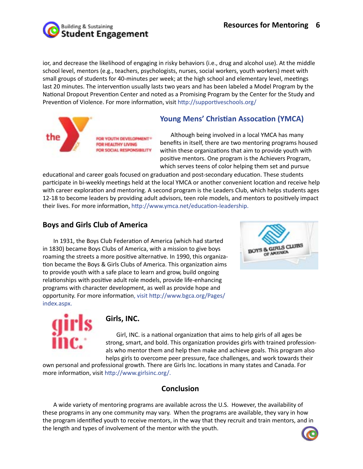

ior, and decrease the likelihood of engaging in risky behaviors (i.e., drug and alcohol use). At the middle school level, mentors (e.g., teachers, psychologists, nurses, social workers, youth workers) meet with small groups of students for 40-minutes per week; at the high school and elementary level, meetings last 20 minutes. The intervention usually lasts two years and has been labeled a Model Program by the National Dropout Prevention Center and noted as a Promising Program by the Center for the Study and Prevention of Violence. For more information, visit http://supportiveschools.org/



**Young Mens' Christian Assocation (YMCA)** 

Although being involved in a local YMCA has many benefits in itself, there are two mentoring programs housed within these organizations that aim to provide youth with positive mentors. One program is the Achievers Program, which serves teens of color helping them set and pursue

educational and career goals focused on graduation and post-secondary education. These students participate in bi-weekly meetings held at the local YMCA or another convenient location and receive help with career exploration and mentoring. A second program is the Leaders Club, which helps students ages 12-18 to become leaders by providing adult advisors, teen role models, and mentors to positively impact their lives. For more information, http://www.ymca.net/education-leadership.

# **Boys and Girls Club of America**

In 1931, the Boys Club Federation of America (which had started in 1830) became Boys Clubs of America, with a mission to give boys roaming the streets a more positive alternative. In 1990, this organization became the Boys & Girls Clubs of America. This organization aims to provide youth with a safe place to learn and grow, build ongoing relationships with positive adult role models, provide life-enhancing programs with character development, as well as provide hope and opportunity. For more information, visit http://www.bgca.org/Pages/ index.aspx.





## **Girls, INC.**

Girl, INC. is a national organization that aims to help girls of all ages be strong, smart, and bold. This organization provides girls with trained professionals who mentor them and help then make and achieve goals. This program also helps girls to overcome peer pressure, face challenges, and work towards their

own personal and professional growth. There are Girls Inc. locations in many states and Canada. For more information, visit http://www.girlsinc.org/.

## **Conclusion**

A wide variety of mentoring programs are available across the U.S. However, the availability of these programs in any one community may vary. When the programs are available, they vary in how the program identified youth to receive mentors, in the way that they recruit and train mentors, and in the length and types of involvement of the mentor with the youth.